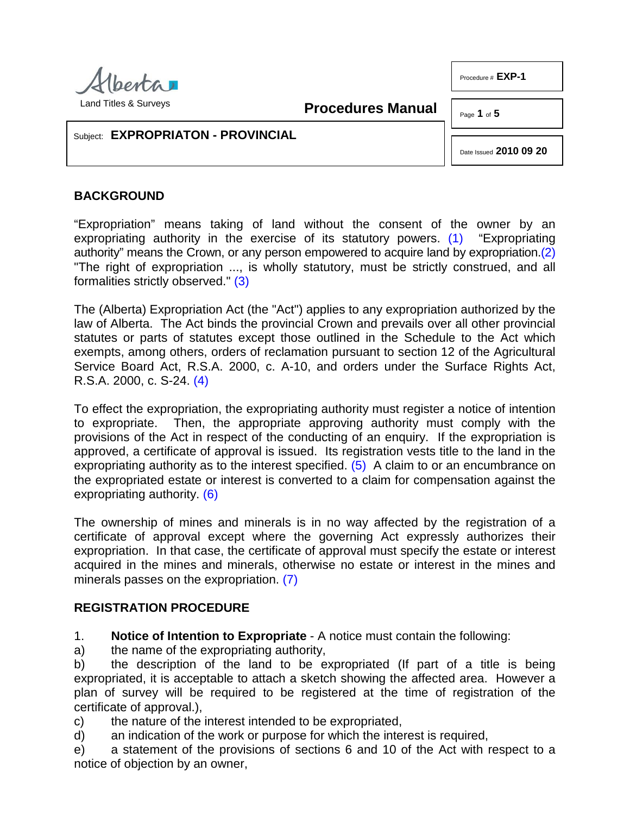

Land Titles & Surveys

**Procedures Manual**

Page **1** of **5**

Procedure # **EXP-1**

## Subject: **EXPROPRIATON - PROVINCIAL**

<span id="page-0-1"></span><span id="page-0-0"></span>Date Issued **2010 09 20**

## **BACKGROUND**

"Expropriation" means taking of land without the consent of the owner by an expropriating authority in the exercise of its statutory powers. [\(1\)](#page-4-0) "Expropriating authority" means the Crown, or any person empowered to acquire land by expropriation[.\(2\)](#page-4-1)  "The right of expropriation ..., is wholly statutory, must be strictly construed, and all formalities strictly observed." [\(3\)](#page-4-2)

<span id="page-0-2"></span>The (Alberta) Expropriation Act (the "Act") applies to any expropriation authorized by the law of Alberta. The Act binds the provincial Crown and prevails over all other provincial statutes or parts of statutes except those outlined in the Schedule to the Act which exempts, among others, orders of reclamation pursuant to section 12 of the Agricultural Service Board Act, R.S.A. 2000, c. A-10, and orders under the Surface Rights Act, R.S.A. 2000, c. S-24. [\(4\)](#page-4-3)

<span id="page-0-4"></span><span id="page-0-3"></span>To effect the expropriation, the expropriating authority must register a notice of intention to expropriate. Then, the appropriate approving authority must comply with the provisions of the Act in respect of the conducting of an enquiry. If the expropriation is approved, a certificate of approval is issued. Its registration vests title to the land in the expropriating authority as to the interest specified. [\(5\)](#page-4-4) A claim to or an encumbrance on the expropriated estate or interest is converted to a claim for compensation against the expropriating authority. [\(6\)](#page-4-5)

<span id="page-0-5"></span>The ownership of mines and minerals is in no way affected by the registration of a certificate of approval except where the governing Act expressly authorizes their expropriation. In that case, the certificate of approval must specify the estate or interest acquired in the mines and minerals, otherwise no estate or interest in the mines and minerals passes on the expropriation. [\(7\)](#page-4-6)

## <span id="page-0-6"></span>**REGISTRATION PROCEDURE**

1. **Notice of Intention to Expropriate** - A notice must contain the following:

a) the name of the expropriating authority,

b) the description of the land to be expropriated (If part of a title is being expropriated, it is acceptable to attach a sketch showing the affected area. However a plan of survey will be required to be registered at the time of registration of the certificate of approval.),

c) the nature of the interest intended to be expropriated,

d) an indication of the work or purpose for which the interest is required,

e) a statement of the provisions of sections 6 and 10 of the Act with respect to a notice of objection by an owner,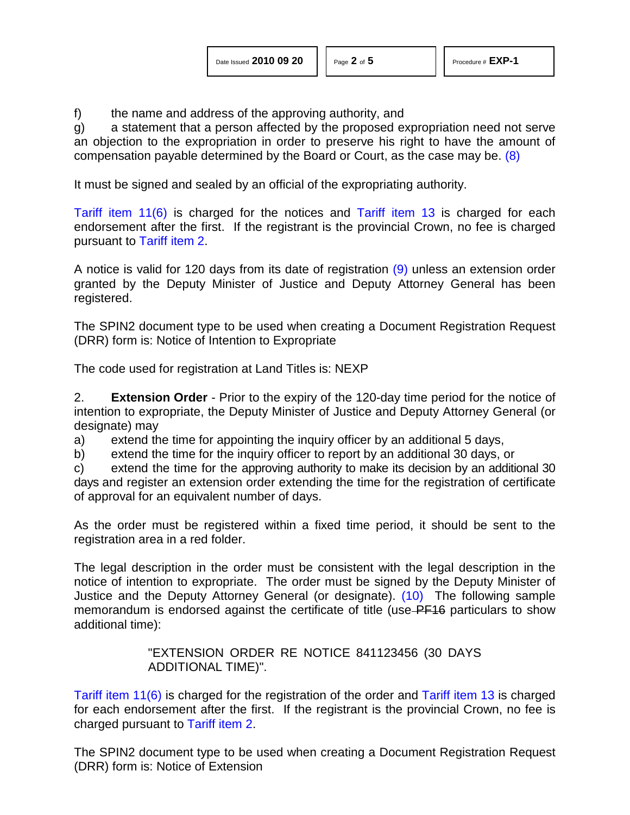f) the name and address of the approving authority, and

<span id="page-1-0"></span>g) a statement that a person affected by the proposed expropriation need not serve an objection to the expropriation in order to preserve his right to have the amount of compensation payable determined by the Board or Court, as the case may be. [\(8\)](#page-4-7)

It must be signed and sealed by an official of the expropriating authority.

[Tariff item 11\(6\)](http://www.servicealberta.ca/pdf/ltmanual/APPENDIXI.pdf) is charged for the notices and [Tariff item 13](http://www.servicealberta.ca/pdf/ltmanual/APPENDIXI.pdf) is charged for each endorsement after the first. If the registrant is the provincial Crown, no fee is charged pursuant to [Tariff item 2.](http://www.servicealberta.ca/pdf/ltmanual/APPENDIXI.pdf)

<span id="page-1-1"></span>A notice is valid for 120 days from its date of registration [\(9\)](#page-4-8) unless an extension order granted by the Deputy Minister of Justice and Deputy Attorney General has been registered.

The SPIN2 document type to be used when creating a Document Registration Request (DRR) form is: Notice of Intention to Expropriate

The code used for registration at Land Titles is: NEXP

2. **Extension Order** - Prior to the expiry of the 120-day time period for the notice of intention to expropriate, the Deputy Minister of Justice and Deputy Attorney General (or designate) may

a) extend the time for appointing the inquiry officer by an additional 5 days,

b) extend the time for the inquiry officer to report by an additional 30 days, or

c) extend the time for the approving authority to make its decision by an additional 30 days and register an extension order extending the time for the registration of certificate of approval for an equivalent number of days.

As the order must be registered within a fixed time period, it should be sent to the registration area in a red folder.

The legal description in the order must be consistent with the legal description in the notice of intention to expropriate. The order must be signed by the Deputy Minister of Justice and the Deputy Attorney General (or designate). [\(10\)](#page-4-9) The following sample memorandum is endorsed against the certificate of title (use-PF16 particulars to show additional time):

> <span id="page-1-2"></span>"EXTENSION ORDER RE NOTICE 841123456 (30 DAYS ADDITIONAL TIME)".

[Tariff item 11\(6\)](http://www.servicealberta.ca/pdf/ltmanual/APPENDIXI.pdf) is charged for the registration of the order and [Tariff item 13](http://www.servicealberta.ca/pdf/ltmanual/APPENDIXI.pdf) is charged for each endorsement after the first. If the registrant is the provincial Crown, no fee is charged pursuant to [Tariff item 2.](http://www.servicealberta.ca/pdf/ltmanual/APPENDIXI.pdf)

The SPIN2 document type to be used when creating a Document Registration Request (DRR) form is: Notice of Extension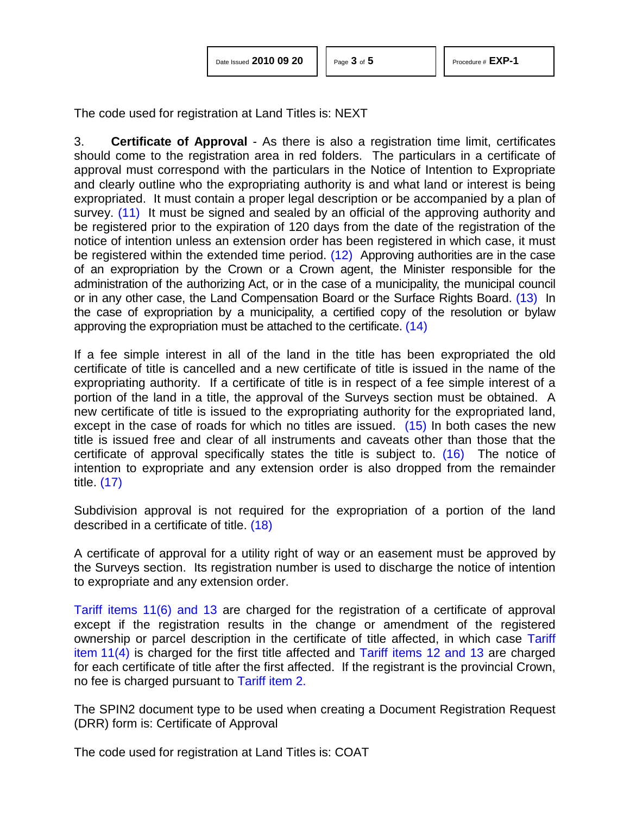<span id="page-2-3"></span><span id="page-2-2"></span><span id="page-2-1"></span>

| Date Issued 2010 09 20 |  |  |
|------------------------|--|--|
|------------------------|--|--|

The code used for registration at Land Titles is: NEXT

<span id="page-2-0"></span>3. **Certificate of Approval** - As there is also a registration time limit, certificates should come to the registration area in red folders. The particulars in a certificate of approval must correspond with the particulars in the Notice of Intention to Expropriate and clearly outline who the expropriating authority is and what land or interest is being expropriated. It must contain a proper legal description or be accompanied by a plan of survey. [\(11\)](#page-4-10) It must be signed and sealed by an official of the approving authority and be registered prior to the expiration of 120 days from the date of the registration of the notice of intention unless an extension order has been registered in which case, it must be registered within the extended time period. [\(12\)](#page-4-11) Approving authorities are in the case of an expropriation by the Crown or a Crown agent, the Minister responsible for the administration of the authorizing Act, or in the case of a municipality, the municipal council or in any other case, the Land Compensation Board or the Surface Rights Board. [\(13\)](#page-4-12) In the case of expropriation by a municipality, a certified copy of the resolution or bylaw approving the expropriation must be attached to the certificate. [\(14\)](#page-4-13)

<span id="page-2-4"></span>If a fee simple interest in all of the land in the title has been expropriated the old certificate of title is cancelled and a new certificate of title is issued in the name of the expropriating authority. If a certificate of title is in respect of a fee simple interest of a portion of the land in a title, the approval of the Surveys section must be obtained. A new certificate of title is issued to the expropriating authority for the expropriated land, except in the case of roads for which no titles are issued. [\(15\)](#page-4-14) In both cases the new title is issued free and clear of all instruments and caveats other than those that the certificate of approval specifically states the title is subject to. [\(16\)](#page-4-15) The notice of intention to expropriate and any extension order is also dropped from the remainder title. [\(17\)](#page-4-16)

<span id="page-2-7"></span><span id="page-2-6"></span><span id="page-2-5"></span>Subdivision approval is not required for the expropriation of a portion of the land described in a certificate of title. [\(18\)](#page-4-17)

A certificate of approval for a utility right of way or an easement must be approved by the Surveys section. Its registration number is used to discharge the notice of intention to expropriate and any extension order.

[Tariff items 11\(6\) and 13](http://www.servicealberta.ca/pdf/ltmanual/APPENDIXI.pdf) are charged for the registration of a certificate of approval except if the registration results in the change or amendment of the registered ownership or parcel description in the certificate of title affected, in which case [Tariff](http://www.servicealberta.ca/pdf/ltmanual/APPENDIXI.pdf)  item [11\(4\)](http://www.servicealberta.ca/pdf/ltmanual/APPENDIXI.pdf) is charged for the first title affected and [Tariff items 12 and 13](http://www.servicealberta.ca/pdf/ltmanual/APPENDIXI.pdf) are charged for each certificate of title after the first affected. If the registrant is the provincial Crown, no fee is charged pursuant to [Tariff item 2.](http://www.servicealberta.ca/pdf/ltmanual/APPENDIXI.pdf)

The SPIN2 document type to be used when creating a Document Registration Request (DRR) form is: Certificate of Approval

The code used for registration at Land Titles is: COAT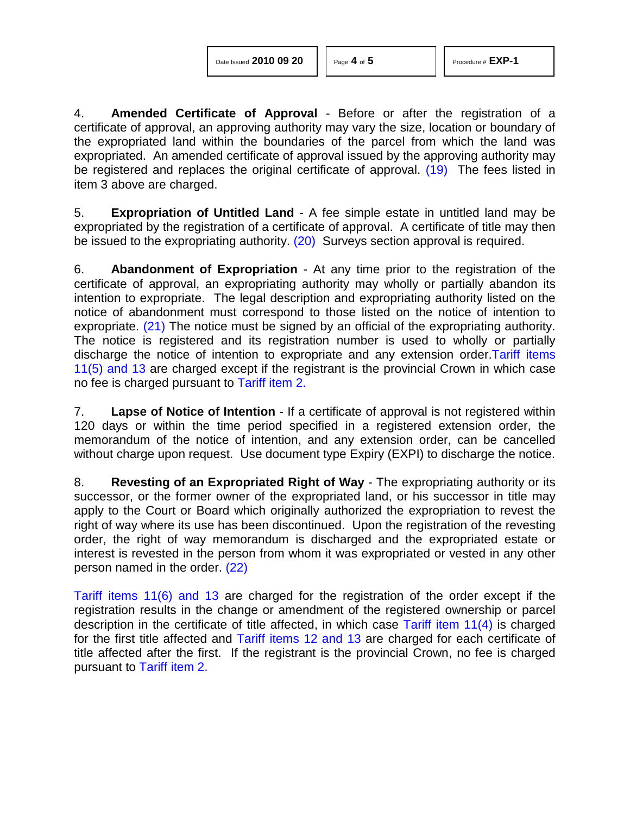4. **Amended Certificate of Approval** - Before or after the registration of a certificate of approval, an approving authority may vary the size, location or boundary of the expropriated land within the boundaries of the parcel from which the land was expropriated. An amended certificate of approval issued by the approving authority may be registered and replaces the original certificate of approval. [\(19\)](#page-4-18) The fees listed in item 3 above are charged.

<span id="page-3-1"></span><span id="page-3-0"></span>5. **Expropriation of Untitled Land** - A fee simple estate in untitled land may be expropriated by the registration of a certificate of approval. A certificate of title may then be issued to the expropriating authority. [\(20\)](#page-4-19) Surveys section approval is required.

<span id="page-3-2"></span>6. **Abandonment of Expropriation** - At any time prior to the registration of the certificate of approval, an expropriating authority may wholly or partially abandon its intention to expropriate. The legal description and expropriating authority listed on the notice of abandonment must correspond to those listed on the notice of intention to expropriate. [\(21\)](#page-4-20) The notice must be signed by an official of the expropriating authority. The notice is registered and its registration number is used to wholly or partially discharge the notice of intention to expropriate and any extension order[.Tariff items](http://www.servicealberta.ca/pdf/ltmanual/APPENDIXI.pdf)  [11\(5\) and 13](http://www.servicealberta.ca/pdf/ltmanual/APPENDIXI.pdf) are charged except if the registrant is the provincial Crown in which case no fee is charged pursuant to [Tariff item 2.](http://www.servicealberta.ca/pdf/ltmanual/APPENDIXI.pdf)

7. **Lapse of Notice of Intention** - If a certificate of approval is not registered within 120 days or within the time period specified in a registered extension order, the memorandum of the notice of intention, and any extension order, can be cancelled without charge upon request. Use document type Expiry (EXPI) to discharge the notice.

8. **Revesting of an Expropriated Right of Way** - The expropriating authority or its successor, or the former owner of the expropriated land, or his successor in title may apply to the Court or Board which originally authorized the expropriation to revest the right of way where its use has been discontinued. Upon the registration of the revesting order, the right of way memorandum is discharged and the expropriated estate or interest is revested in the person from whom it was expropriated or vested in any other person named in the order. [\(22\)](#page-4-21)

<span id="page-3-3"></span>[Tariff items 11\(6\) and 13](http://www.servicealberta.ca/pdf/ltmanual/APPENDIXI.pdf) are charged for the registration of the order except if the registration results in the change or amendment of the registered ownership or parcel description in the certificate of title affected, in which case [Tariff item 11\(4\)](http://www.servicealberta.ca/pdf/ltmanual/APPENDIXI.pdf) is charged for the first title affected and [Tariff items 12 and 13](http://www.servicealberta.ca/pdf/ltmanual/APPENDIXI.pdf) are charged for each certificate of title affected after the first. If the registrant is the provincial Crown, no fee is charged pursuant to [Tariff item 2.](http://www.servicealberta.ca/pdf/ltmanual/APPENDIXI.pdf)